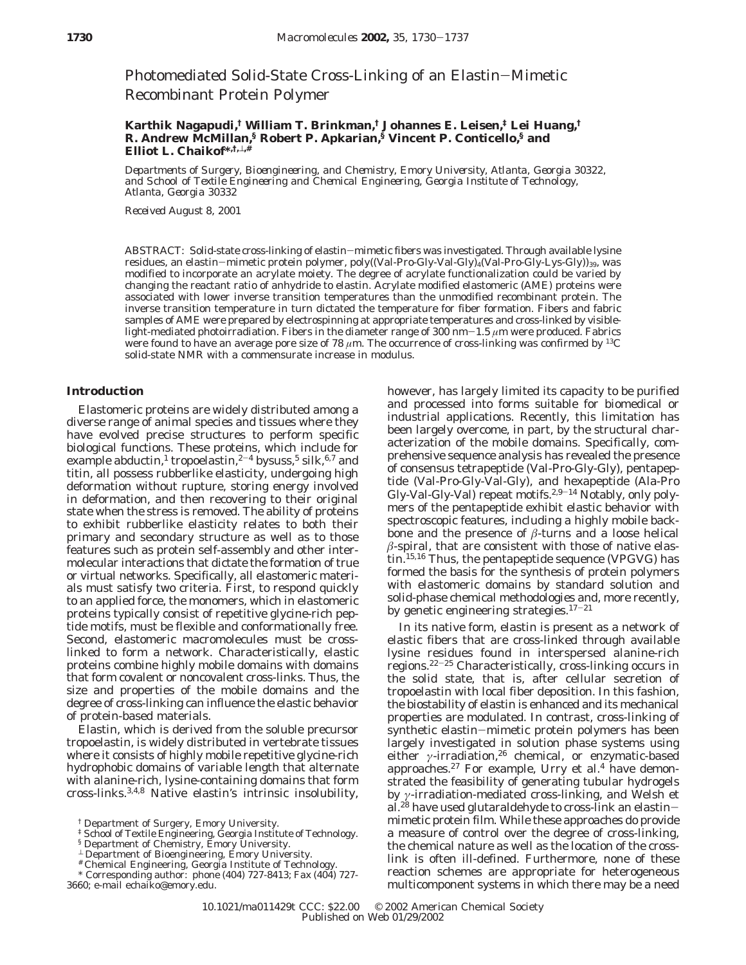Photomediated Solid-State Cross-Linking of an Elastin-Mimetic Recombinant Protein Polymer

# **Karthik Nagapudi,† William T. Brinkman,† Johannes E. Leisen,‡ Lei Huang,† R. Andrew McMillan,§ Robert P. Apkarian,§ Vincent P. Conticello,§ and Elliot L. Chaikof\*,†,**⊥**,#**

*Departments of Surgery, Bioengineering, and Chemistry, Emory University, Atlanta, Georgia 30322, and School of Textile Engineering and Chemical Engineering, Georgia Institute of Technology, Atlanta, Georgia 30332*

*Received August 8, 2001*

ABSTRACT: Solid-state cross-linking of elastin-mimetic fibers was investigated. Through available lysine residues, an elastin-mimetic protein polymer, poly((Val-Pro-Gly-Val-Gly)<sub>4</sub>(Val-Pro-Gly-Lys-Gly))<sub>39</sub>, was modified to incorporate an acrylate moiety. The degree of acrylate functionalization could be varied by changing the reactant ratio of anhydride to elastin. Acrylate modified elastomeric (AME) proteins were associated with lower inverse transition temperatures than the unmodified recombinant protein. The inverse transition temperature in turn dictated the temperature for fiber formation. Fibers and fabric samples of AME were prepared by electrospinning at appropriate temperatures and cross-linked by visiblelight-mediated photoirradiation. Fibers in the diameter range of 300 nm-1.5 *<sup>µ</sup>*m were produced. Fabrics were found to have an average pore size of 78 *µ*m. The occurrence of cross-linking was confirmed by 13C solid-state NMR with a commensurate increase in modulus.

# **Introduction**

Elastomeric proteins are widely distributed among a diverse range of animal species and tissues where they have evolved precise structures to perform specific biological functions. These proteins, which include for example abductin,<sup>1</sup> tropoelastin,<sup>2-4</sup> bysuss,<sup>5</sup> silk,<sup>6,7</sup> and titin, all possess rubberlike elasticity, undergoing high deformation without rupture, storing energy involved in deformation, and then recovering to their original state when the stress is removed. The ability of proteins to exhibit rubberlike elasticity relates to both their primary and secondary structure as well as to those features such as protein self-assembly and other intermolecular interactions that dictate the formation of true or virtual networks. Specifically, all elastomeric materials must satisfy two criteria. First, to respond quickly to an applied force, the monomers, which in elastomeric proteins typically consist of repetitive glycine-rich peptide motifs, must be flexible and conformationally free. Second, elastomeric macromolecules must be crosslinked to form a network. Characteristically, elastic proteins combine highly mobile domains with domains that form covalent or noncovalent cross-links. Thus, the size and properties of the mobile domains and the degree of cross-linking can influence the elastic behavior of protein-based materials.

Elastin, which is derived from the soluble precursor tropoelastin, is widely distributed in vertebrate tissues where it consists of highly mobile repetitive glycine-rich hydrophobic domains of variable length that alternate with alanine-rich, lysine-containing domains that form cross-links.3,4,8 Native elastin's intrinsic insolubility,

- ‡ School of Textile Engineering, Georgia Institute of Technology.
- § Department of Chemistry, Emory University.
- <sup>⊥</sup> Department of Bioengineering, Emory University.
- # Chemical Engineering, Georgia Institute of Technology.

3660; e-mail echaiko@emory.edu.

however, has largely limited its capacity to be purified and processed into forms suitable for biomedical or industrial applications. Recently, this limitation has been largely overcome, in part, by the structural characterization of the mobile domains. Specifically, comprehensive sequence analysis has revealed the presence of consensus tetrapeptide (Val-Pro-Gly-Gly), pentapeptide (Val-Pro-Gly-Val-Gly), and hexapeptide (Ala-Pro Gly-Val-Gly-Val) repeat motifs.<sup>2,9-14</sup> Notably, only polymers of the pentapeptide exhibit elastic behavior with spectroscopic features, including a highly mobile backbone and the presence of  $\beta$ -turns and a loose helical  $\beta$ -spiral, that are consistent with those of native elastin.<sup>15,16</sup> Thus, the pentapeptide sequence (VPGVG) has formed the basis for the synthesis of protein polymers with elastomeric domains by standard solution and solid-phase chemical methodologies and, more recently, by genetic engineering strategies.<sup>17-21</sup>

In its native form, elastin is present as a network of elastic fibers that are cross-linked through available lysine residues found in interspersed alanine-rich regions.22-<sup>25</sup> Characteristically, cross-linking occurs in the solid state, that is, after cellular secretion of tropoelastin with local fiber deposition. In this fashion, the biostability of elastin is enhanced and its mechanical properties are modulated. In contrast, cross-linking of synthetic elastin-mimetic protein polymers has been largely investigated in solution phase systems using either *γ*-irradiation,<sup>26</sup> chemical, or enzymatic-based approaches.<sup>27</sup> For example, Urry et al.<sup>4</sup> have demonstrated the feasibility of generating tubular hydrogels by *γ*-irradiation-mediated cross-linking, and Welsh et al.28 have used glutaraldehyde to cross-link an elastinmimetic protein film. While these approaches do provide a measure of control over the degree of cross-linking, the chemical nature as well as the location of the crosslink is often ill-defined. Furthermore, none of these reaction schemes are appropriate for heterogeneous multicomponent systems in which there may be a need

<sup>†</sup> Department of Surgery, Emory University.

<sup>\*</sup> Corresponding author: phone (404) 727-8413; Fax (404) 727-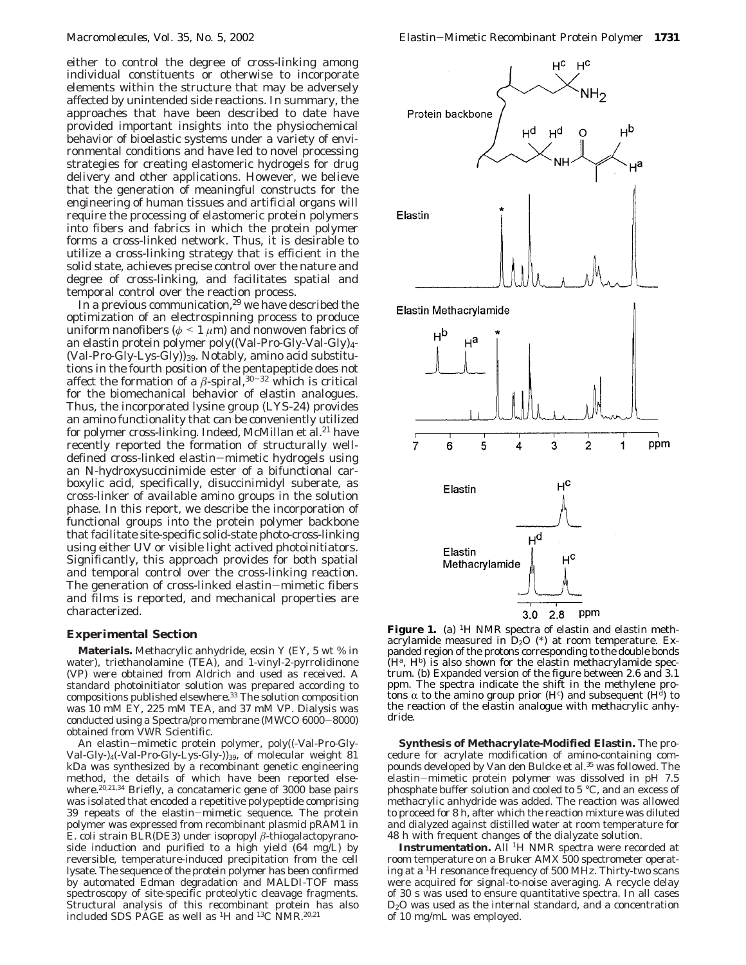either to control the degree of cross-linking among individual constituents or otherwise to incorporate elements within the structure that may be adversely affected by unintended side reactions. In summary, the approaches that have been described to date have provided important insights into the physiochemical behavior of bioelastic systems under a variety of environmental conditions and have led to novel processing strategies for creating elastomeric hydrogels for drug delivery and other applications. However, we believe that the generation of meaningful constructs for the engineering of human tissues and artificial organs will require the processing of elastomeric protein polymers into fibers and fabrics in which the protein polymer forms a cross-linked network. Thus, it is desirable to utilize a cross-linking strategy that is efficient in the solid state, achieves precise control over the nature and degree of cross-linking, and facilitates spatial and temporal control over the reaction process.

In a previous communication,<sup>29</sup> we have described the optimization of an electrospinning process to produce uniform nanofibers (*<sup>φ</sup>* < <sup>1</sup> *<sup>µ</sup>*m) and nonwoven fabrics of an elastin protein polymer poly((Val-Pro-Gly-Val-Gly)4- (Val-Pro-Gly-Lys-Gly))39. Notably, amino acid substitutions in the fourth position of the pentapeptide does not affect the formation of a  $\beta$ -spiral,<sup>30-32</sup> which is critical for the biomechanical behavior of elastin analogues. Thus, the incorporated lysine group (LYS-24) provides an amino functionality that can be conveniently utilized for polymer cross-linking. Indeed, McMillan et al.<sup>21</sup> have recently reported the formation of structurally welldefined cross-linked elastin-mimetic hydrogels using an *N*-hydroxysuccinimide ester of a bifunctional carboxylic acid, specifically, disuccinimidyl suberate, as cross-linker of available amino groups in the solution phase. In this report, we describe the incorporation of functional groups into the protein polymer backbone that facilitate site-specific solid-state photo-cross-linking using either UV or visible light actived photoinitiators. Significantly, this approach provides for both spatial and temporal control over the cross-linking reaction. The generation of cross-linked elastin-mimetic fibers and films is reported, and mechanical properties are characterized.

## **Experimental Section**

**Materials.** Methacrylic anhydride, eosin Y (EY, 5 wt % in water), triethanolamine (TEA), and 1-vinyl-2-pyrrolidinone (VP) were obtained from Aldrich and used as received. A standard photoinitiator solution was prepared according to compositions published elsewhere.33 The solution composition was 10 mM EY, 225 mM TEA, and 37 mM VP. Dialysis was conducted using a Spectra/pro membrane (MWCO 6000-8000) obtained from VWR Scientific.

An elastin-mimetic protein polymer, poly((-Val-Pro-Gly-Val-Gly-)<sub>4</sub>(-Val-Pro-Gly-Lys-Gly-))<sub>39</sub>, of molecular weight  $81$ kDa was synthesized by a recombinant genetic engineering method, the details of which have been reported elsewhere.<sup>20,21,34</sup> Briefly, a concatameric gene of 3000 base pairs was isolated that encoded a repetitive polypeptide comprising 39 repeats of the elastin-mimetic sequence. The protein polymer was expressed from recombinant plasmid pRAM1 in *E. coli* strain BLR(DE3) under isopropyl *â*-thiogalactopyranoside induction and purified to a high yield (64 mg/L) by reversible, temperature-induced precipitation from the cell lysate. The sequence of the protein polymer has been confirmed by automated Edman degradation and MALDI-TOF mass spectroscopy of site-specific proteolytic cleavage fragments. Structural analysis of this recombinant protein has also included SDS PAGE as well as <sup>1</sup>H and <sup>13</sup>C NMR.<sup>20,21</sup>



Figure 1. (a) <sup>1</sup>H NMR spectra of elastin and elastin methacrylamide measured in  $D_2O$  (\*) at room temperature. Expanded region of the protons corresponding to the double bonds  $(H^a, H^b)$  is also shown for the elastin methacrylamide spectrum. (b) Expanded version of the figure between 2.6 and 3.1 ppm. The spectra indicate the shift in the methylene protons α to the amino group prior (H<sup>c</sup>) and subsequent (H<sup>d</sup>) to<br>the reaction of the elastin analogue with methacrylic anhythe reaction of the elastin analogue with methacrylic anhydride.

**Synthesis of Methacrylate-Modified Elastin.** The procedure for acrylate modification of amino-containing compounds developed by Van den Bulcke et al.<sup>35</sup> was followed. The elastin-mimetic protein polymer was dissolved in pH 7.5 phosphate buffer solution and cooled to 5 °C, and an excess of methacrylic anhydride was added. The reaction was allowed to proceed for 8 h, after which the reaction mixture was diluted and dialyzed against distilled water at room temperature for 48 h with frequent changes of the dialyzate solution.

Instrumentation. All <sup>1</sup>H NMR spectra were recorded at room temperature on a Bruker AMX 500 spectrometer operating at a 1H resonance frequency of 500 MHz. Thirty-two scans were acquired for signal-to-noise averaging. A recycle delay of 30 s was used to ensure quantitative spectra. In all cases  $D_2O$  was used as the internal standard, and a concentration of 10 mg/mL was employed.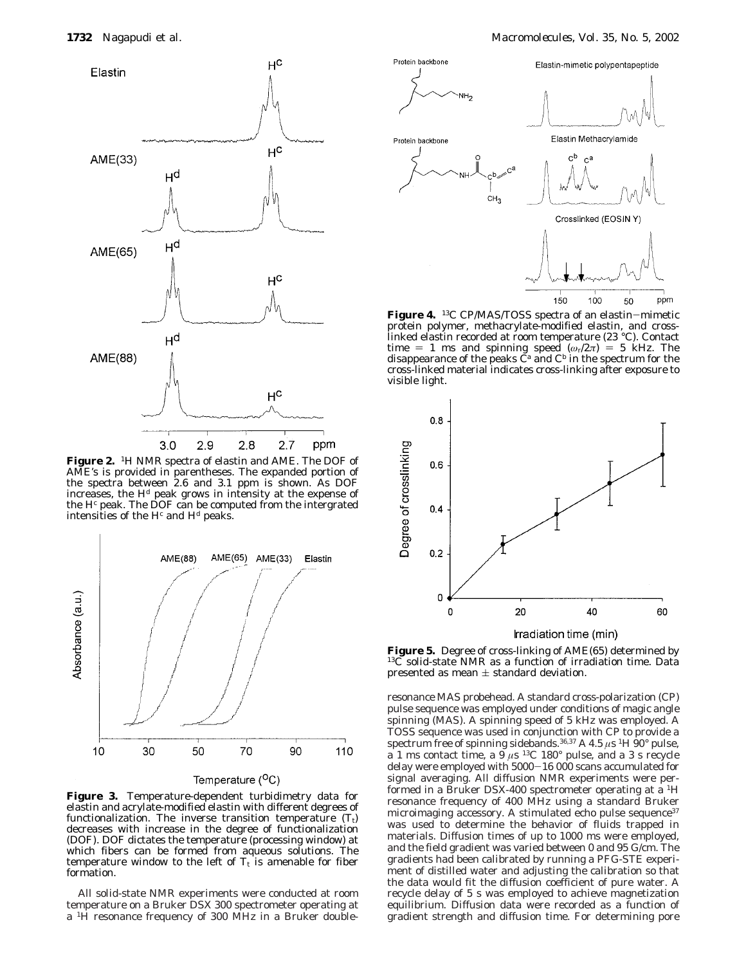

**Figure 2.** 1H NMR spectra of elastin and AME. The DOF of AME's is provided in parentheses. The expanded portion of the spectra between 2.6 and 3.1 ppm is shown. As DOF increases, the Hd peak grows in intensity at the expense of the  $H<sup>c</sup>$  peak. The DOF can be computed from the intergrated intensities of the  $H<sup>c</sup>$  and  $H<sup>d</sup>$  peaks.



Temperature  $(^{O}C)$ 

**Figure 3.** Temperature-dependent turbidimetry data for elastin and acrylate-modified elastin with different degrees of functionalization. The inverse transition temperature  $(T_t)$ decreases with increase in the degree of functionalization (DOF). DOF dictates the temperature (processing window) at which fibers can be formed from aqueous solutions. The temperature window to the left of  $T_t$  is amenable for fiber formation.

All solid-state NMR experiments were conducted at room temperature on a Bruker DSX 300 spectrometer operating at a <sup>1</sup>H resonance frequency of 300 MHz in a Bruker double-



**Figure 4.** 13C CP/MAS/TOSS spectra of an elastin-mimetic protein polymer, methacrylate-modified elastin, and crosslinked elastin recorded at room temperature (23 °C). Contact time = 1 ms and spinning speed ( $\omega_r/2\pi$ ) = 5 kHz. The disappearance of the peaks C<sup>a</sup> and C<sup>b</sup> in the spectrum for the cross-linked material indicates cross-linking after exposure to visible light.



**Figure 5.** Degree of cross-linking of AME(65) determined by  $13\text{C}$  solid-state NMR as a function of irradiation time. Data presented as mean  $\pm$  standard deviation.

resonance MAS probehead. A standard cross-polarization (CP) pulse sequence was employed under conditions of magic angle spinning (MAS). A spinning speed of 5 kHz was employed. A TOSS sequence was used in conjunction with CP to provide a spectrum free of spinning sidebands.<sup>36,37</sup> A 4.5  $\mu$ s <sup>1</sup>H 90° pulse, a 1 ms contact time, a  $9 \mu s$  <sup>13</sup>C 180° pulse, and a 3 s recycle delay were employed with 5000-16 000 scans accumulated for signal averaging. All diffusion NMR experiments were performed in a Bruker DSX-400 spectrometer operating at a 1H resonance frequency of 400 MHz using a standard Bruker microimaging accessory. A stimulated echo pulse sequence<sup>37</sup> was used to determine the behavior of fluids trapped in materials. Diffusion times of up to 1000 ms were employed, and the field gradient was varied between 0 and 95 G/cm. The gradients had been calibrated by running a PFG-STE experiment of distilled water and adjusting the calibration so that the data would fit the diffusion coefficient of pure water. A recycle delay of 5 s was employed to achieve magnetization equilibrium. Diffusion data were recorded as a function of gradient strength and diffusion time. For determining pore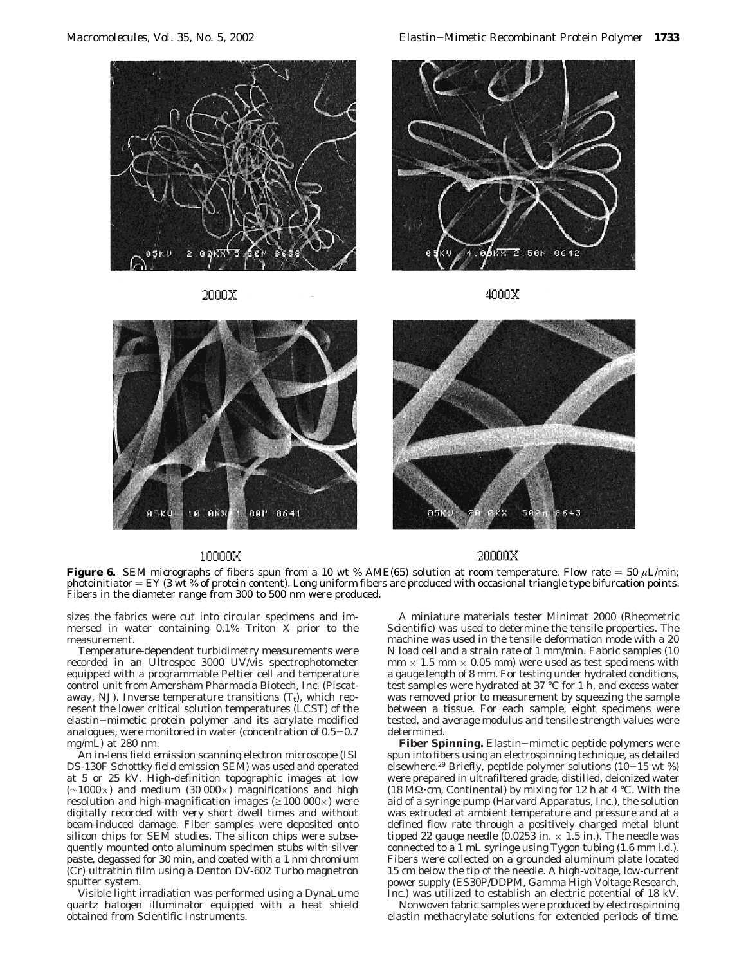

2000X



4000X



# 643

# 10000X

20000X

**Figure 6.** SEM micrographs of fibers spun from a 10 wt % AME(65) solution at room temperature. Flow rate  $=$  50  $\mu$ L/min; photoinitiator  $=$  EY (3 wt % of protein content). Long uniform fibers are produced with occasional triangle type bifurcation points. Fibers in the diameter range from 300 to 500 nm were produced.

sizes the fabrics were cut into circular specimens and immersed in water containing 0.1% Triton X prior to the measurement.

Temperature-dependent turbidimetry measurements were recorded in an Ultrospec 3000 UV/vis spectrophotometer equipped with a programmable Peltier cell and temperature control unit from Amersham Pharmacia Biotech, Inc. (Piscataway, NJ). Inverse temperature transitions  $(T_t)$ , which represent the lower critical solution temperatures (LCST) of the elastin-mimetic protein polymer and its acrylate modified analogues, were monitored in water (concentration of 0.5-0.7 mg/mL) at 280 nm.

An in-lens field emission scanning electron microscope (ISI DS-130F Schottky field emission SEM) was used and operated at 5 or 25 kV. High-definition topographic images at low (∼1000×) and medium (30 000×) magnifications and high resolution and high-magnification images ( $\geq 100\ 000\times$ ) were digitally recorded with very short dwell times and without beam-induced damage. Fiber samples were deposited onto silicon chips for SEM studies. The silicon chips were subsequently mounted onto aluminum specimen stubs with silver paste, degassed for 30 min, and coated with a 1 nm chromium (Cr) ultrathin film using a Denton DV-602 Turbo magnetron sputter system.

Visible light irradiation was performed using a DynaLume quartz halogen illuminator equipped with a heat shield obtained from Scientific Instruments.

A miniature materials tester Minimat 2000 (Rheometric Scientific) was used to determine the tensile properties. The machine was used in the tensile deformation mode with a 20 N load cell and a strain rate of 1 mm/min. Fabric samples (10  $mm \times 1.5 mm \times 0.05 mm$ ) were used as test specimens with a gauge length of 8 mm. For testing under hydrated conditions, test samples were hydrated at 37 °C for 1 h, and excess water was removed prior to measurement by squeezing the sample between a tissue. For each sample, eight specimens were tested, and average modulus and tensile strength values were determined.

**Fiber Spinning.** Elastin-mimetic peptide polymers were spun into fibers using an electrospinning technique, as detailed elsewhere.<sup>29</sup> Briefly, peptide polymer solutions  $(10-15 \text{ wt } \%)$ were prepared in ultrafiltered grade, distilled, deionized water (18 M $\Omega$ ·cm, Continental) by mixing for 12 h at 4 °C. With the aid of a syringe pump (Harvard Apparatus, Inc.), the solution was extruded at ambient temperature and pressure and at a defined flow rate through a positively charged metal blunt tipped 22 gauge needle  $(0.0253 \text{ in.} \times 1.5 \text{ in.})$ . The needle was connected to a 1 mL syringe using Tygon tubing (1.6 mm i.d.). Fibers were collected on a grounded aluminum plate located 15 cm below the tip of the needle. A high-voltage, low-current power supply (ES30P/DDPM, Gamma High Voltage Research, Inc.) was utilized to establish an electric potential of 18 kV.

Nonwoven fabric samples were produced by electrospinning elastin methacrylate solutions for extended periods of time.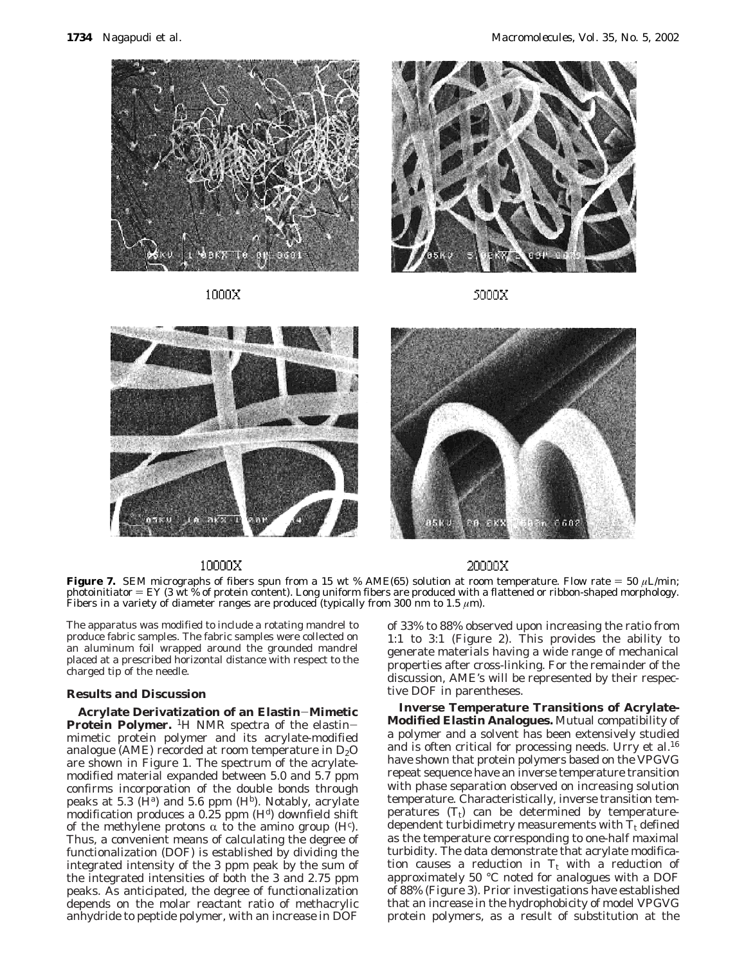

1000X



5000X





# 10000X

 $_{20000X}$ 

**Figure 7.** SEM micrographs of fibers spun from a 15 wt % AME(65) solution at room temperature. Flow rate = 50  $\mu$ L/min; photoinitiator  $=$  EY (3 wt % of protein content). Long uniform fibers are produced with a flattened or ribbon-shaped morphology. Fibers in a variety of diameter ranges are produced (typically from 300 nm to 1.5  $\mu$ m).

The apparatus was modified to include a rotating mandrel to produce fabric samples. The fabric samples were collected on an aluminum foil wrapped around the grounded mandrel placed at a prescribed horizontal distance with respect to the charged tip of the needle.

# **Results and Discussion**

**Acrylate Derivatization of an Elastin**-**Mimetic Protein Polymer.** <sup>1</sup>H NMR spectra of the elastinmimetic protein polymer and its acrylate-modified analogue (AME) recorded at room temperature in  $D_2O$ are shown in Figure 1. The spectrum of the acrylatemodified material expanded between 5.0 and 5.7 ppm confirms incorporation of the double bonds through peaks at 5.3 ( $H^a$ ) and 5.6 ppm ( $H^b$ ). Notably, acrylate modification produces a  $0.25$  ppm  $(H<sup>d</sup>)$  downfield shift of the methylene protons  $\alpha$  to the amino group (H<sup>c</sup>).<br>Thus a convenient means of calculating the degree of Thus, a convenient means of calculating the degree of functionalization (DOF) is established by dividing the integrated intensity of the 3 ppm peak by the sum of the integrated intensities of both the 3 and 2.75 ppm peaks. As anticipated, the degree of functionalization depends on the molar reactant ratio of methacrylic anhydride to peptide polymer, with an increase in DOF

of 33% to 88% observed upon increasing the ratio from 1:1 to 3:1 (Figure 2). This provides the ability to generate materials having a wide range of mechanical properties after cross-linking. For the remainder of the discussion, AME's will be represented by their respective DOF in parentheses.

**Inverse Temperature Transitions of Acrylate-Modified Elastin Analogues.** Mutual compatibility of a polymer and a solvent has been extensively studied and is often critical for processing needs. Urry et al.<sup>16</sup> have shown that protein polymers based on the VPGVG repeat sequence have an inverse temperature transition with phase separation observed on increasing solution temperature. Characteristically, inverse transition temperatures  $(T_t)$  can be determined by temperaturedependent turbidimetry measurements with  $T_t$  defined as the temperature corresponding to one-half maximal turbidity. The data demonstrate that acrylate modification causes a reduction in  $T_t$  with a reduction of approximately 50 °C noted for analogues with a DOF of 88% (Figure 3). Prior investigations have established that an increase in the hydrophobicity of model VPGVG protein polymers, as a result of substitution at the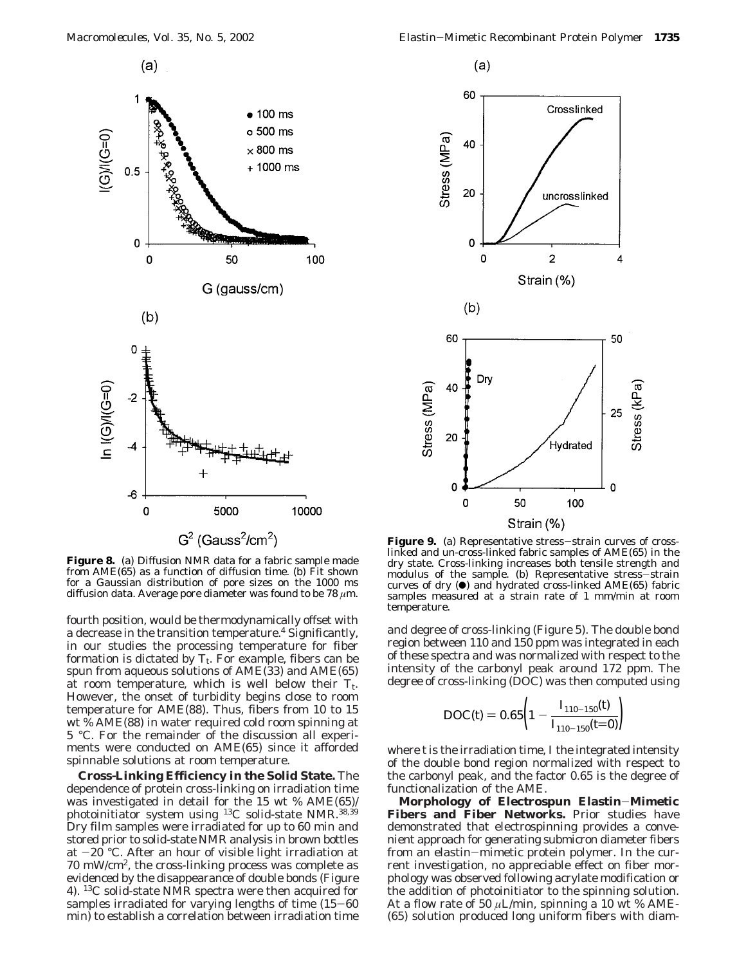$(a)$ 



**Figure 8.** (a) Diffusion NMR data for a fabric sample made from AME(65) as a function of diffusion time. (b) Fit shown for a Gaussian distribution of pore sizes on the 1000 ms diffusion data. Average pore diameter was found to be 78 *µ*m.

fourth position, would be thermodynamically offset with a decrease in the transition temperature.<sup>4</sup> Significantly, in our studies the processing temperature for fiber formation is dictated by  $T_t$ . For example, fibers can be spun from aqueous solutions of AME(33) and AME(65) at room temperature, which is well below their  $T_t$ . However, the onset of turbidity begins close to room temperature for AME(88). Thus, fibers from 10 to 15 wt % AME(88) in water required cold room spinning at 5 °C. For the remainder of the discussion all experiments were conducted on AME(65) since it afforded spinnable solutions at room temperature.

**Cross-Linking Efficiency in the Solid State.** The dependence of protein cross-linking on irradiation time was investigated in detail for the 15 wt % AME(65)/ photoinitiator system using 13C solid-state NMR.38,39 Dry film samples were irradiated for up to 60 min and stored prior to solid-state NMR analysis in brown bottles at  $-20$  °C. After an hour of visible light irradiation at 70 mW/cm2, the cross-linking process was complete as evidenced by the disappearance of double bonds (Figure 4). 13C solid-state NMR spectra were then acquired for samples irradiated for varying lengths of time (15-60) min) to establish a correlation between irradiation time

 $(a)$ 



Figure 9. (a) Representative stress-strain curves of crosslinked and un-cross-linked fabric samples of AME(65) in the dry state. Cross-linking increases both tensile strength and modulus of the sample. (b) Representative stress-strain curves of dry  $(\bullet)$  and hydrated cross-linked AME(65) fabric samples measured at a strain rate of 1 mm/min at room temperature.

and degree of cross-linking (Figure 5). The double bond region between 110 and 150 ppm was integrated in each of these spectra and was normalized with respect to the intensity of the carbonyl peak around 172 ppm. The degree of cross-linking (DOC) was then computed using

$$
\text{DOC}(t) = 0.65 \left( 1 - \frac{I_{110-150}(t)}{I_{110-150}(t=0)} \right)
$$

where *t* is the irradiation time, *I* the integrated intensity of the double bond region normalized with respect to the carbonyl peak, and the factor 0.65 is the degree of functionalization of the AME.

**Morphology of Electrospun Elastin**-**Mimetic Fibers and Fiber Networks.** Prior studies have demonstrated that electrospinning provides a convenient approach for generating submicron diameter fibers from an elastin-mimetic protein polymer. In the current investigation, no appreciable effect on fiber morphology was observed following acrylate modification or the addition of photoinitiator to the spinning solution. At a flow rate of 50  $\mu$ L/min, spinning a 10 wt % AME-(65) solution produced long uniform fibers with diam-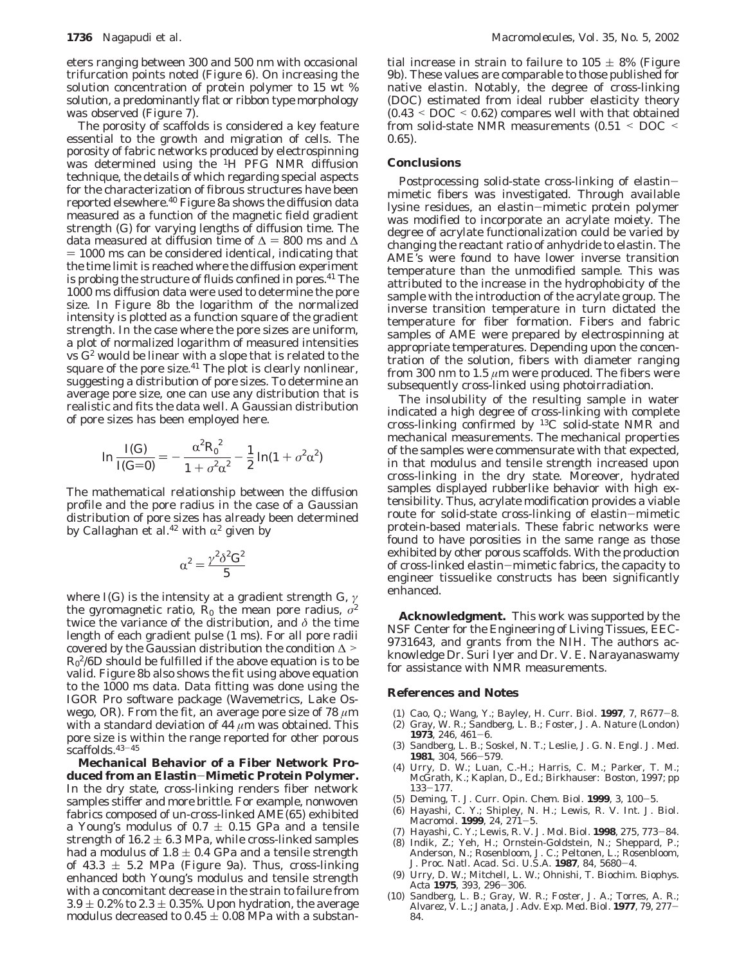eters ranging between 300 and 500 nm with occasional trifurcation points noted (Figure 6). On increasing the solution concentration of protein polymer to 15 wt % solution, a predominantly flat or ribbon type morphology was observed (Figure 7).

The porosity of scaffolds is considered a key feature essential to the growth and migration of cells. The porosity of fabric networks produced by electrospinning was determined using the 1H PFG NMR diffusion technique, the details of which regarding special aspects for the characterization of fibrous structures have been reported elsewhere.40 Figure 8a shows the diffusion data measured as a function of the magnetic field gradient strength (*G*) for varying lengths of diffusion time. The data measured at diffusion time of  $\Delta = 800$  ms and  $\Delta$  $= 1000$  ms can be considered identical, indicating that the time limit is reached where the diffusion experiment is probing the structure of fluids confined in pores.<sup>41</sup> The 1000 ms diffusion data were used to determine the pore size. In Figure 8b the logarithm of the normalized intensity is plotted as a function square of the gradient strength. In the case where the pore sizes are uniform, a plot of normalized logarithm of measured intensities vs *G*<sup>2</sup> would be linear with a slope that is related to the square of the pore size. $41$  The plot is clearly nonlinear, suggesting a distribution of pore sizes. To determine an average pore size, one can use any distribution that is realistic and fits the data well. A Gaussian distribution of pore sizes has been employed here.

$$
\ln \frac{I(G)}{I(G=0)} = -\frac{\alpha^2 R_0^2}{1 + \sigma^2 \alpha^2} - \frac{1}{2} \ln(1 + \sigma^2 \alpha^2)
$$

The mathematical relationship between the diffusion profile and the pore radius in the case of a Gaussian distribution of pore sizes has already been determined by Callaghan et al.<sup>42</sup> with  $\alpha^2$  given by

$$
\alpha^2 = \frac{\gamma^2 \delta^2 G^2}{5}
$$

where *I(G)* is the intensity at a gradient strength *G*, *γ* the gyromagnetic ratio,  $R_0$  the mean pore radius,  $\sigma^2$ twice the variance of the distribution, and *δ* the time length of each gradient pulse (1 ms). For all pore radii covered by the Gaussian distribution the condition  $\Delta$  >  $R_0^2/6D$  should be fulfilled if the above equation is to be valid. Figure 8b also shows the fit using above equation to the 1000 ms data. Data fitting was done using the IGOR Pro software package (Wavemetrics, Lake Oswego, OR). From the fit, an average pore size of 78 *µ*m with a standard deviation of 44 *µ*m was obtained. This pore size is within the range reported for other porous  $scaffolds.^{43-45}$ 

**Mechanical Behavior of a Fiber Network Produced from an Elastin**-**Mimetic Protein Polymer.** In the dry state, cross-linking renders fiber network samples stiffer and more brittle. For example, nonwoven fabrics composed of un-cross-linked AME(65) exhibited a Young's modulus of  $0.7 \pm 0.15$  GPa and a tensile strength of  $16.2 \pm 6.3$  MPa, while cross-linked samples had a modulus of  $1.8 \pm 0.4$  GPa and a tensile strength of 43.3  $\pm$  5.2 MPa (Figure 9a). Thus, cross-linking enhanced both Young's modulus and tensile strength with a concomitant decrease in the strain to failure from  $3.9 \pm 0.2\%$  to  $2.3 \pm 0.35\%$ . Upon hydration, the average modulus decreased to  $0.45 \pm 0.08$  MPa with a substan-

tial increase in strain to failure to  $105 \pm 8\%$  (Figure 9b). These values are comparable to those published for native elastin. Notably, the degree of cross-linking (DOC) estimated from ideal rubber elasticity theory (0.43 < DOC < 0.62) compares well with that obtained from solid-state NMR measurements (0.51 < DOC < 0.65).

## **Conclusions**

Postprocessing solid-state cross-linking of elastinmimetic fibers was investigated. Through available lysine residues, an elastin-mimetic protein polymer was modified to incorporate an acrylate moiety. The degree of acrylate functionalization could be varied by changing the reactant ratio of anhydride to elastin. The AME's were found to have lower inverse transition temperature than the unmodified sample. This was attributed to the increase in the hydrophobicity of the sample with the introduction of the acrylate group. The inverse transition temperature in turn dictated the temperature for fiber formation. Fibers and fabric samples of AME were prepared by electrospinning at appropriate temperatures. Depending upon the concentration of the solution, fibers with diameter ranging from 300 nm to 1.5 *µ*m were produced. The fibers were subsequently cross-linked using photoirradiation.

The insolubility of the resulting sample in water indicated a high degree of cross-linking with complete cross-linking confirmed by 13C solid-state NMR and mechanical measurements. The mechanical properties of the samples were commensurate with that expected, in that modulus and tensile strength increased upon cross-linking in the dry state. Moreover, hydrated samples displayed rubberlike behavior with high extensibility. Thus, acrylate modification provides a viable route for solid-state cross-linking of elastin-mimetic protein-based materials. These fabric networks were found to have porosities in the same range as those exhibited by other porous scaffolds. With the production of cross-linked elastin-mimetic fabrics, the capacity to engineer tissuelike constructs has been significantly enhanced.

**Acknowledgment.** This work was supported by the NSF Center for the Engineering of Living Tissues, EEC-9731643, and grants from the NIH. The authors acknowledge Dr. Suri Iyer and Dr. V. E. Narayanaswamy for assistance with NMR measurements.

### **References and Notes**

- (1) Cao, Q.; Wang, Y.; Bayley, H. *Curr. Biol.* **<sup>1997</sup>**, *<sup>7</sup>*, R677-8.
- (2) Gray, W. R.; Sandberg, L. B.; Foster, J. A. *Nature (London)* **<sup>1973</sup>**, *<sup>246</sup>*, 461-6.
- (3) Sandberg, L. B.; Soskel, N. T.; Leslie, J. G. *N. Engl. J. Med.* **<sup>1981</sup>**, *<sup>304</sup>*, 566-579.
- (4) Urry, D. W.; Luan, C.-H.; Harris, C. M.; Parker, T. M.; McGrath, K.; Kaplan, D., Ed.; Birkhauser: Boston, 1997; pp 133-177.<br>(5) Deming, T. J. Curr. Opin. Chem. Biol. **1999**, 3, 100-5.
- 
- (5) Deming, T. J. *Curr. Opin. Chem. Biol.* **<sup>1999</sup>**, *<sup>3</sup>*, 100-5. (6) Hayashi, C. Y.; Shipley, N. H.; Lewis, R. V. *Int. J. Biol. Macromol.* **<sup>1999</sup>**, *<sup>24</sup>*, 271-5.
- (7) Hayashi, C. Y.; Lewis, R. V. *J. Mol. Biol.* **<sup>1998</sup>**, *<sup>275</sup>*, 773-84.
- (8) Indik, Z.; Yeh, H.; Ornstein-Goldstein, N.; Sheppard, P.; Anderson, N.; Rosenbloom, J. C.; Peltonen, L.; Rosenbloom, J. *Proc. Natl. Acad. Sci. U.S.A.* **<sup>1987</sup>**, *<sup>84</sup>*, 5680-4.
- (9) Urry, D. W.; Mitchell, L. W.; Ohnishi, T. *Biochim. Biophys.*
- *Acta* **<sup>1975</sup>**, *<sup>393</sup>*, 296-306. (10) Sandberg, L. B.; Gray, W. R.; Foster, J. A.; Torres, A. R.; Alvarez, V. L.; Janata, J. *Adv. Exp. Med. Biol.* **<sup>1977</sup>**, *<sup>79</sup>*, 277- 84.